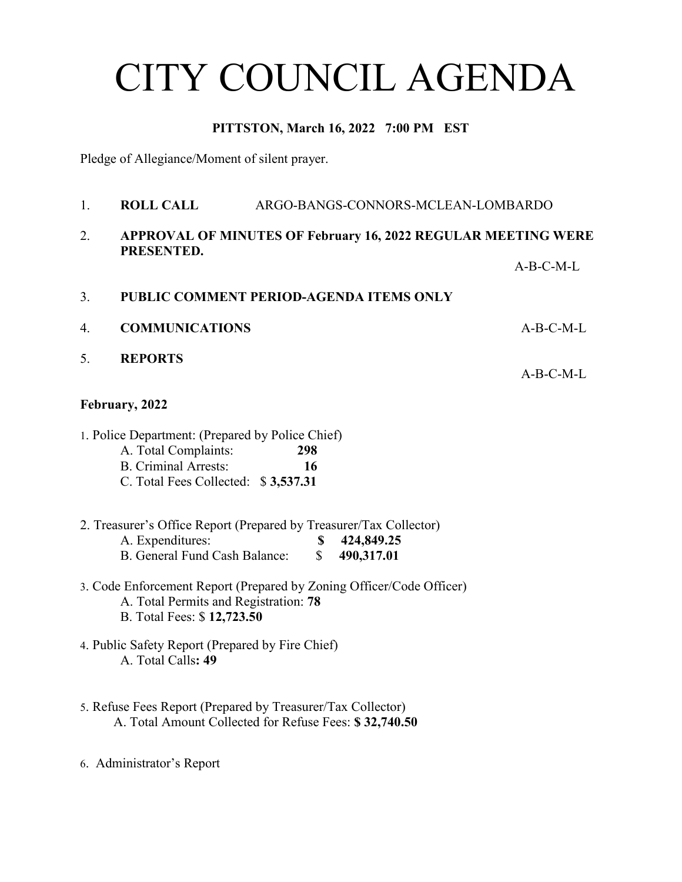# CITY COUNCIL AGENDA

### **PITTSTON, March 16, 2022 7:00 PM EST**

Pledge of Allegiance/Moment of silent prayer.

- 1. **ROLL CALL** ARGO-BANGS-CONNORS-MCLEAN-LOMBARDO 2. **APPROVAL OF MINUTES OF February 16, 2022 REGULAR MEETING WERE PRESENTED.** A-B-C-M-L 3. **PUBLIC COMMENT PERIOD-AGENDA ITEMS ONLY** 4. **COMMUNICATIONS** A-B-C-M-L 5. **REPORTS** A-B-C-M-L **February, 2022** 1. Police Department: (Prepared by Police Chief) A. Total Complaints: **298** B. Criminal Arrests: **16** C. Total Fees Collected: \$ **3,537.31** 2. Treasurer's Office Report (Prepared by Treasurer/Tax Collector) A. Expenditures: **\$ 424,849.25** B. General Fund Cash Balance: \$ **490,317.01** 3. Code Enforcement Report (Prepared by Zoning Officer/Code Officer) A. Total Permits and Registration: **78** B. Total Fees: \$ **12,723.50** 4. Public Safety Report (Prepared by Fire Chief) A. Total Calls**: 49** 5. Refuse Fees Report (Prepared by Treasurer/Tax Collector) A. Total Amount Collected for Refuse Fees: **\$ 32,740.50**
- 6. Administrator's Report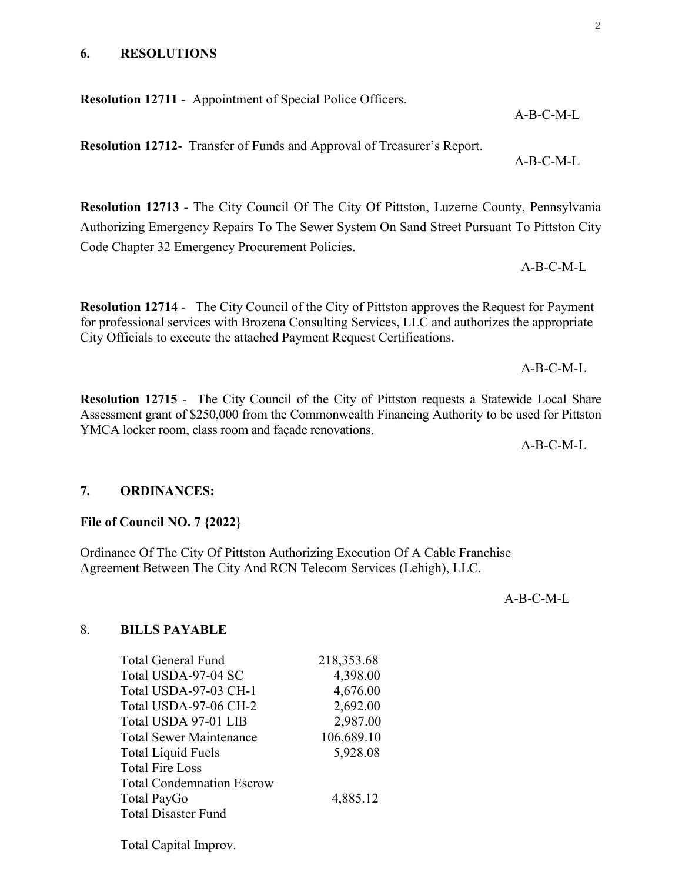#### **6. RESOLUTIONS**

**Resolution 12711** - Appointment of Special Police Officers.

**Resolution 12712**- Transfer of Funds and Approval of Treasurer's Report.

**Resolution 12713 -** The City Council Of The City Of Pittston, Luzerne County, Pennsylvania Authorizing Emergency Repairs To The Sewer System On Sand Street Pursuant To Pittston City Code Chapter 32 Emergency Procurement Policies.

**Resolution 12714** - The City Council of the City of Pittston approves the Request for Payment for professional services with Brozena Consulting Services, LLC and authorizes the appropriate City Officials to execute the attached Payment Request Certifications.

**Resolution 12715** - The City Council of the City of Pittston requests a Statewide Local Share Assessment grant of \$250,000 from the Commonwealth Financing Authority to be used for Pittston YMCA locker room, class room and façade renovations.

A-B-C-M-L

#### **7. ORDINANCES:**

#### **File of Council NO. 7 {2022}**

Ordinance Of The City Of Pittston Authorizing Execution Of A Cable Franchise Agreement Between The City And RCN Telecom Services (Lehigh), LLC.

A-B-C-M-L

#### 8. **BILLS PAYABLE**

| <b>Total General Fund</b>        | 218,353.68 |
|----------------------------------|------------|
| Total USDA-97-04 SC              | 4,398.00   |
| Total USDA-97-03 CH-1            | 4,676.00   |
| Total USDA-97-06 CH-2            | 2,692.00   |
| Total USDA 97-01 LIB             | 2,987.00   |
| <b>Total Sewer Maintenance</b>   | 106,689.10 |
| <b>Total Liquid Fuels</b>        | 5,928.08   |
| <b>Total Fire Loss</b>           |            |
| <b>Total Condemnation Escrow</b> |            |
| Total PayGo                      | 4,885.12   |
| <b>Total Disaster Fund</b>       |            |
|                                  |            |

Total Capital Improv.

A-B-C-M-L

A-B-C-M-L

 $A-B-C-M-I$ 

A-B-C-M-L